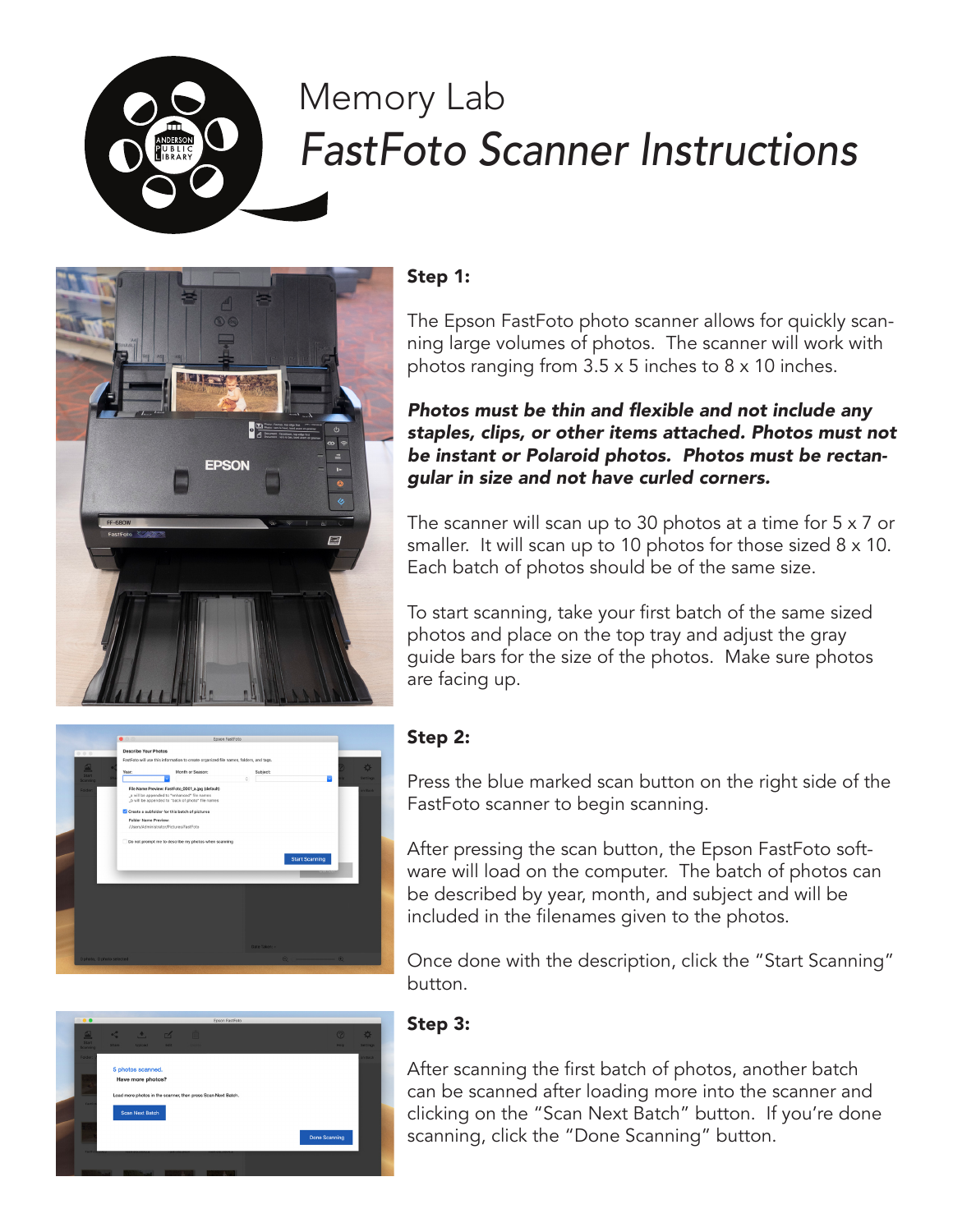

# Memory Lab *FastFoto Scanner Instructions*



## Step 1:

The Epson FastFoto photo scanner allows for quickly scanning large volumes of photos. The scanner will work with photos ranging from 3.5 x 5 inches to 8 x 10 inches.

#### Photos must be thin and flexible and not include any staples, clips, or other items attached. Photos must not be instant or Polaroid photos. Photos must be rectangular in size and not have curled corners.

The scanner will scan up to 30 photos at a time for 5 x 7 or smaller. It will scan up to 10 photos for those sized 8 x 10. Each batch of photos should be of the same size.

To start scanning, take your first batch of the same sized photos and place on the top tray and adjust the gray guide bars for the size of the photos. Make sure photos are facing up.



# Step 2:

Press the blue marked scan button on the right side of the FastFoto scanner to begin scanning.

After pressing the scan button, the Epson FastFoto software will load on the computer. The batch of photos can be described by year, month, and subject and will be included in the filenames given to the photos.

Once done with the description, click the "Start Scanning" button.



# Step 3:

After scanning the first batch of photos, another batch can be scanned after loading more into the scanner and clicking on the "Scan Next Batch" button. If you're done scanning, click the "Done Scanning" button.